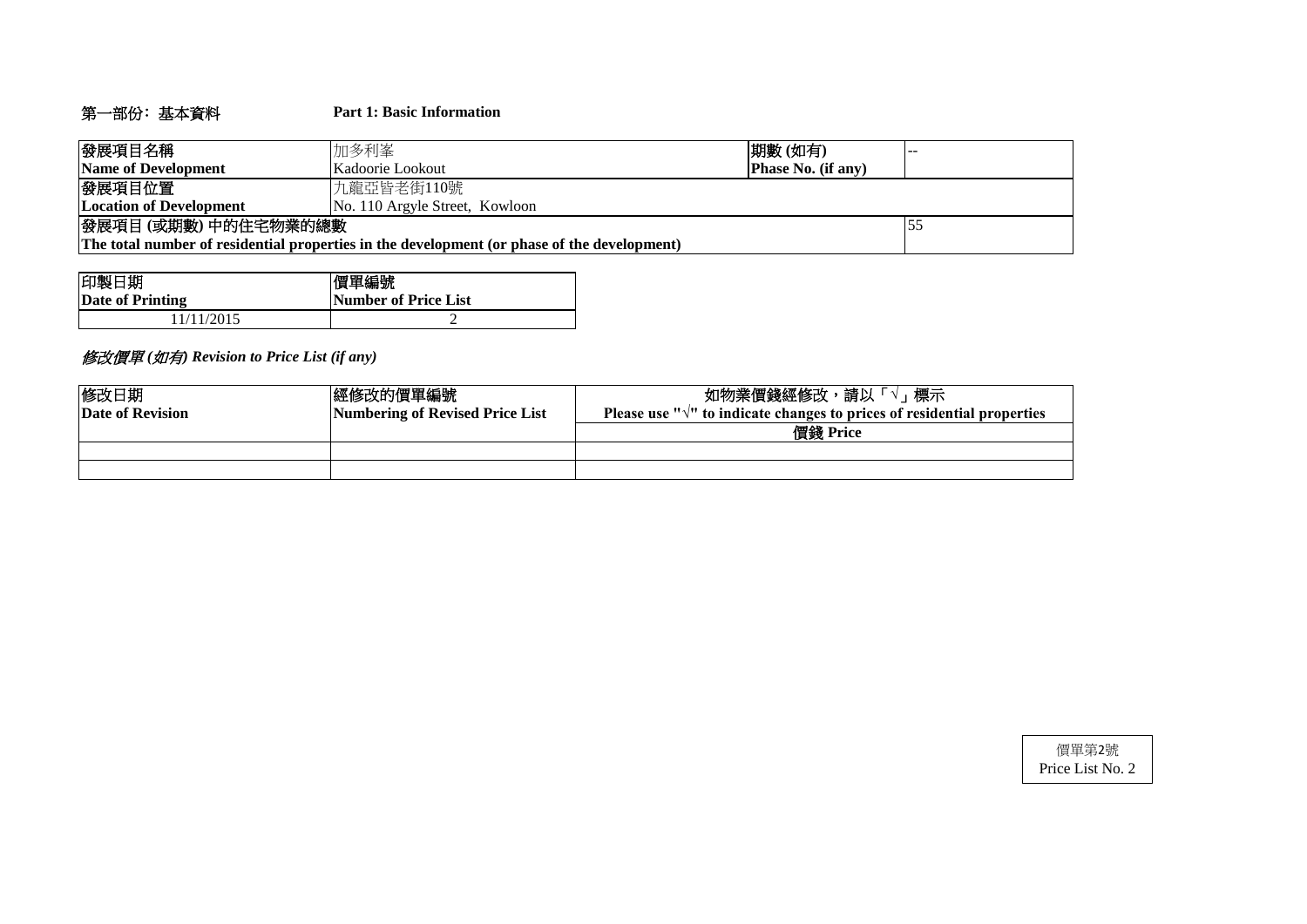# 第一部份﹕基本資料 **Part 1: Basic Information**

| 發展項目名稱                                                                                      | 加多利峯                                          | 期數(如有) |  |  |  |  |  |  |  |
|---------------------------------------------------------------------------------------------|-----------------------------------------------|--------|--|--|--|--|--|--|--|
| Name of Development                                                                         | <b>Phase No. (if any)</b><br>Kadoorie Lookout |        |  |  |  |  |  |  |  |
| 發展項目位置                                                                                      | 九龍亞皆老街110號                                    |        |  |  |  |  |  |  |  |
| <b>Location of Development</b><br>No. 110 Argyle Street, Kowloon                            |                                               |        |  |  |  |  |  |  |  |
| 發展項目(或期數)中的住宅物業的總數                                                                          |                                               |        |  |  |  |  |  |  |  |
| The total number of residential properties in the development (or phase of the development) |                                               |        |  |  |  |  |  |  |  |

| 印製日期             | 價單編號                 |
|------------------|----------------------|
| Date of Printing | Number of Price List |
| 1/11/2015        |                      |

# 修改價單 *(*如有*) Revision to Price List (if any)*

| 修改日期<br>Date of Revision | 經修改的價單編號<br>Numbering of Revised Price List | 標示<br>如物業價錢經修改,請以「√<br>Please use " $\sqrt{ }$ " to indicate changes to prices of residential properties |
|--------------------------|---------------------------------------------|----------------------------------------------------------------------------------------------------------|
|                          |                                             | 價錢 Price                                                                                                 |
|                          |                                             |                                                                                                          |
|                          |                                             |                                                                                                          |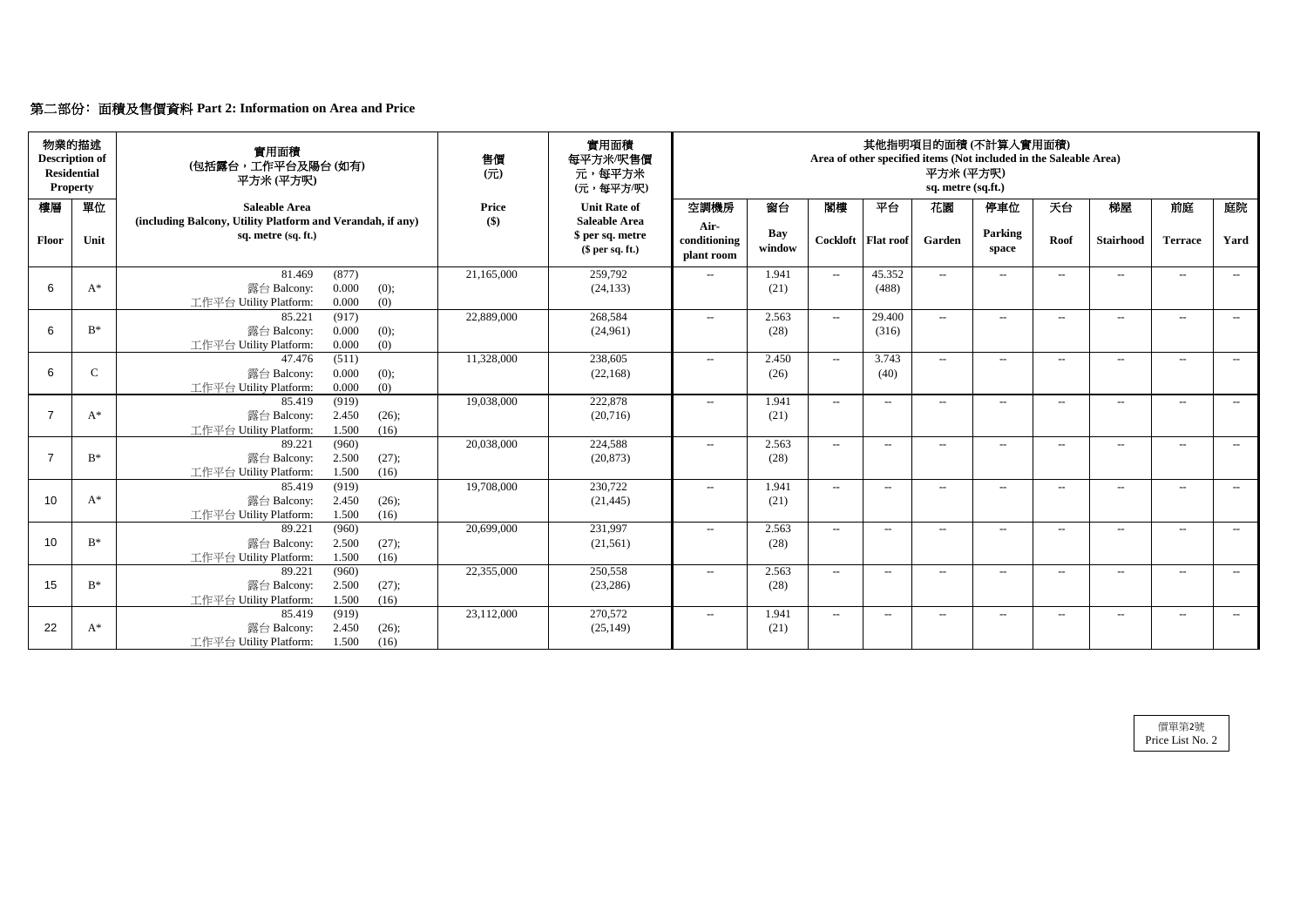# 第二部份﹕面積及售價資料 **Part 2: Information on Area and Price**

| 物業的描述<br><b>Description of</b><br><b>Residential</b><br><b>Property</b> |              | 實用面積<br>(包括露台,工作平台及陽台(如有)<br>平方米(平方呎)                                                       | 實用面積<br>每平方米/呎售價<br>元,每平方米<br>(元,每平方/呎) | 其他指明項目的面積(不計算入實用面積)<br>Area of other specified items (Not included in the Saleable Area)<br>平方米(平方呎)<br>sq. metre (sq.ft.) |                                    |                      |                                                  |                      |                |                  |                   |                  |                          |       |
|-------------------------------------------------------------------------|--------------|---------------------------------------------------------------------------------------------|-----------------------------------------|----------------------------------------------------------------------------------------------------------------------------|------------------------------------|----------------------|--------------------------------------------------|----------------------|----------------|------------------|-------------------|------------------|--------------------------|-------|
| 樓層                                                                      | 單位           | <b>Saleable Area</b><br>(including Balcony, Utility Platform and Verandah, if any)          | <b>Price</b><br>\$)                     | <b>Unit Rate of</b><br><b>Saleable Area</b>                                                                                | 空調機房                               | 窗台                   | 閣樓                                               | 平台                   | 花園             | 停車位              | 天台                | 梯屋               | 前庭                       | 庭院    |
| Floor                                                                   | Unit         | sq. metre (sq. ft.)                                                                         |                                         | \$ per sq. metre<br>$$$ per sq. ft.)                                                                                       | Air-<br>conditioning<br>plant room | <b>Bay</b><br>window |                                                  | Cockloft   Flat roof | Garden         | Parking<br>space | Roof              | <b>Stairhood</b> | <b>Terrace</b>           | Yard  |
| 6                                                                       | $A^*$        | 81.469<br>(877)<br>0.000<br>露台 Balcony:<br>(0);<br>0.000<br>(0)<br>工作平台 Utility Platform:   | 21,165,000                              | 259,792<br>(24, 133)                                                                                                       | $-$                                | 1.941<br>(21)        | $\sim$                                           | 45.352<br>(488)      | $ -$           | $---$            | $--$              | $--$             | $---$                    | $--$  |
| 6                                                                       | $B^*$        | 85.221<br>(917)<br>0.000<br>露台 Balcony:<br>(0);<br>(0)<br>工作平台 Utility Platform:<br>0.000   | 22,889,000                              | 268,584<br>(24,961)                                                                                                        | $-$                                | 2.563<br>(28)        | $--$                                             | 29.400<br>(316)      | $--$           | $-$              | $--$              | $---$            | $- -$                    | $---$ |
| 6                                                                       | $\mathsf{C}$ | (511)<br>47.476<br>0.000<br>露台 Balcony:<br>(0);<br>0.000<br>(0)<br>工作平台 Utility Platform:   | 11,328,000                              | 238,605<br>(22, 168)                                                                                                       | $---$                              | 2.450<br>(26)        | $--$                                             | 3.743<br>(40)        | $\overline{a}$ | $--$             | $---$             | $-$              | $-$                      | $--$  |
| $\overline{7}$                                                          | $A^*$        | 85.419<br>(919)<br>2.450<br>露台 Balcony:<br>(26);<br>1.500<br>工作平台 Utility Platform:<br>(16) | 19,038,000                              | 222,878<br>(20, 716)                                                                                                       | $-$                                | 1.941<br>(21)        | $--$                                             | $ -$                 | $\overline{a}$ | $-$              | $--$              | $- -$            | $-$                      | $---$ |
| $\overline{7}$                                                          | $B^*$        | 89.221<br>(960)<br>2.500<br>露台 Balcony:<br>(27);<br>1.500<br>工作平台 Utility Platform:<br>(16) | 20,038,000                              | 224,588<br>(20, 873)                                                                                                       | $\mathcal{L}(\mathcal{L})$         | 2.563<br>(28)        | $--$                                             | $--$                 | $\overline{a}$ | $-$              | $--$              | $---$            | $--$                     | $--$  |
| 10                                                                      | $A^*$        | (919)<br>85.419<br>2.450<br>露台 Balcony:<br>(26);<br>工作平台 Utility Platform:<br>1.500<br>(16) | 19,708,000                              | 230,722<br>(21, 445)                                                                                                       | $---$                              | 1.941<br>(21)        | $\overline{\phantom{a}}$                         | $\qquad \qquad -$    | $\rightarrow$  | $--$             | $\qquad \qquad -$ | $---$            | $-$                      | $--$  |
| 10                                                                      | $B^*$        | (960)<br>89.221<br>2.500<br>(27);<br>露台 Balcony:<br>工作平台 Utility Platform:<br>1.500<br>(16) | 20,699,000                              | 231,997<br>(21,561)                                                                                                        | $\mathcal{L} = \mathcal{L}$        | 2.563<br>(28)        | $\hspace{0.1em} -\hspace{0.1em} -\hspace{0.1em}$ | $--$                 | $-$            | $--$             | $\qquad \qquad -$ | $--$             | $--$                     | $--$  |
| 15                                                                      | $B^*$        | 89.221<br>(960)<br>2.500<br>露台 Balcony:<br>(27);<br>工作平台 Utility Platform:<br>1.500<br>(16) | 22,355,000                              | 250,558<br>(23, 286)                                                                                                       | $\mathcal{L} = \mathcal{L}$        | 2.563<br>(28)        | $\overline{\phantom{a}}$                         | $--$                 | $--$           | $--$             | $--$              | $--$             | $\overline{\phantom{a}}$ | $--$  |
| 22                                                                      | $A^*$        | 85.419<br>(919)<br>露台 Balcony:<br>2.450<br>(26);<br>工作平台 Utility Platform:<br>1.500<br>(16) | 23,112,000                              | 270,572<br>(25, 149)                                                                                                       | $\mathcal{L}(\mathcal{L})$         | 1.941<br>(21)        | $\mathcal{L}_{\mathcal{F}}$                      | $--$                 | $--$           | $--$             | $--$              | $--$             | $--$                     | $--$  |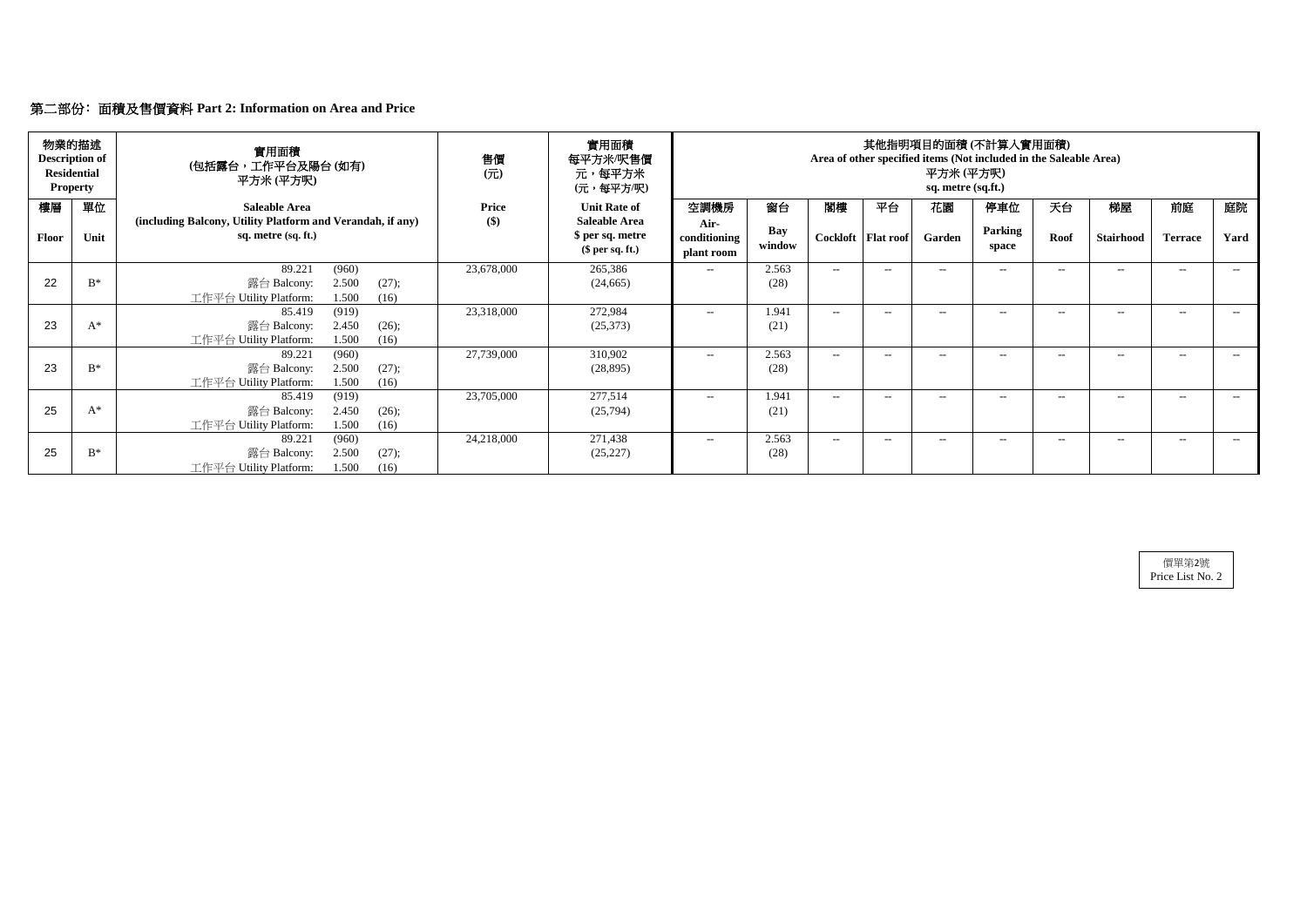| 物業的描述<br><b>Description of</b><br><b>Residential</b><br><b>Property</b> |       | 實用面積<br>(包括露台,工作平台及陽台(如有)<br>平方米 (平方呎)                                                      | 售價<br>$($ $\overrightarrow{\pi}$ $)$ | 實用面積<br>每平方米/呎售價<br>元,每平方米<br>(元,每平方/呎)     | 其他指明項目的面積(不計算入實用面積)<br>Area of other specified items (Not included in the Saleable Area)<br>平方米 (平方呎)<br>sq. metre (sq.ft.) |               |      |                      |        |                  |       |                  |                |      |
|-------------------------------------------------------------------------|-------|---------------------------------------------------------------------------------------------|--------------------------------------|---------------------------------------------|-----------------------------------------------------------------------------------------------------------------------------|---------------|------|----------------------|--------|------------------|-------|------------------|----------------|------|
| 樓層                                                                      | 單位    | <b>Saleable Area</b><br>(including Balcony, Utility Platform and Verandah, if any)          | <b>Price</b><br>\$)                  | <b>Unit Rate of</b><br><b>Saleable Area</b> | 空調機房                                                                                                                        | 窗台            | 閣樓   | 平台                   | 花園     | 停車位              | 天台    | 梯屋               | 前庭             | 庭院   |
| Floor                                                                   | Unit  | sq. metre (sq. ft.)                                                                         |                                      | \$ per sq. metre<br>$$$ per sq. ft.)        | Air-<br>conditioning<br>plant room                                                                                          | Bay<br>window |      | Cockloft   Flat roof | Garden | Parking<br>space | Roof  | <b>Stairhood</b> | <b>Terrace</b> | Yard |
| 22                                                                      | $B^*$ | 89.221<br>(960)<br>2.500<br>露台 Balcony:<br>(27);                                            | 23,678,000                           | 265,386<br>(24, 665)                        | $--$                                                                                                                        | 2.563<br>(28) | $--$ | $--$                 | $-$    | $- -$            | $--$  | $--$             | $-$            | $--$ |
|                                                                         |       | 工作平台 Utility Platform:<br>1.500<br>(16)                                                     |                                      |                                             |                                                                                                                             |               |      |                      |        |                  |       |                  |                |      |
| 23                                                                      | $A^*$ | (919)<br>85.419<br>2.450<br>露台 Balcony:<br>(26);<br>工作平台 Utility Platform:<br>1.500<br>(16) | 23,318,000                           | 272,984<br>(25,373)                         | $--$                                                                                                                        | 1.941<br>(21) | $--$ | $---$                | $--$   | $--$             | $-$   | $--$             | $-$            | $--$ |
| 23                                                                      | $B^*$ | (960)<br>89.221<br>2.500<br>露台 Balcony:<br>(27);<br>1.500<br>工作平台 Utility Platform:<br>(16) | 27,739,000                           | 310,902<br>(28, 895)                        | $--$                                                                                                                        | 2.563<br>(28) | $--$ | $--$                 | $--$   | $--$             | $---$ | $---$            | $-$            | $--$ |
| 25                                                                      | $A^*$ | (919)<br>85.419<br>2.450<br>露台 Balcony:<br>(26);<br>工作平台 Utility Platform:<br>1.500<br>(16) | 23,705,000                           | 277,514<br>(25,794)                         | $--$                                                                                                                        | 1.941<br>(21) | $--$ | $- -$                | $-$    | $- -$            | $-$   | $--$             | $-$            | $--$ |
| 25                                                                      | $B^*$ | (960)<br>89.221<br>2.500<br>露台 Balcony:<br>(27);<br>1.500<br>工作平台 Utility Platform:<br>(16) | 24,218,000                           | 271,438<br>(25, 227)                        | $--$                                                                                                                        | 2.563<br>(28) | $--$ | $--$                 | $-$    | $- -$            | $--$  | $--$             | $--$           | $--$ |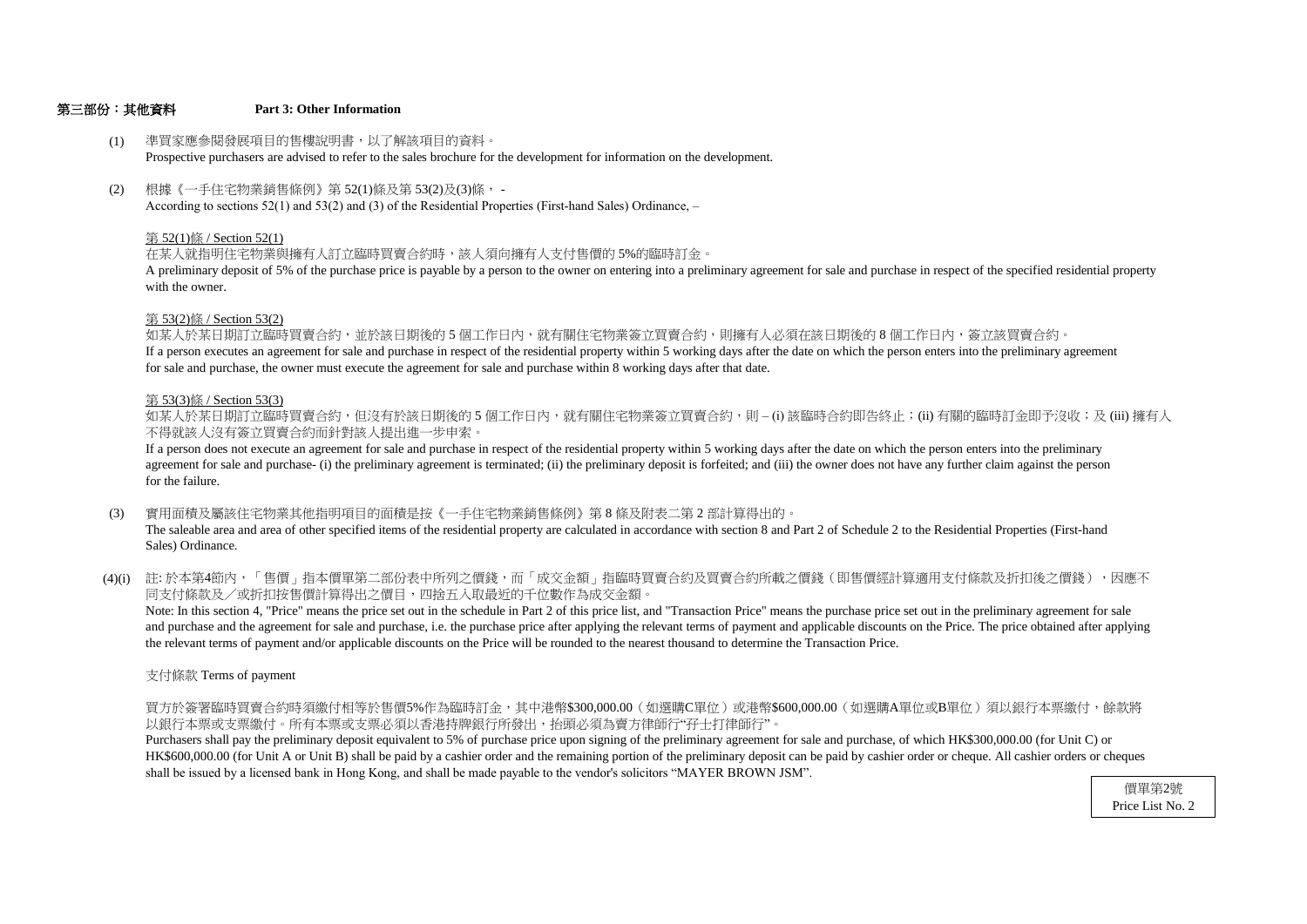#### 第三部份:其他資料 **Part 3: Other Information**

支付條款 Terms of payment

以銀行本票或支票繳付。所有本票或支票必須以香港持牌銀行所發出,抬頭必須為賣方律師行"孖士打律師行"。 買方於簽署臨時買賣合約時須繳付相等於售價5%作為臨時訂金,其中港幣\$300,000.00(如選購C單位)或港幣\$600,000.00(如選購A單位或B單位)須以銀行本票繳付,餘款將

shall be issued by a licensed bank in Hong Kong, and shall be made payable to the vendor's solicitors "MAYER BROWN JSM". HK\$600,000.00 (for Unit A or Unit B) shall be paid by a cashier order and the remaining portion of the preliminary deposit can be paid by cashier order or cheque. All cashier orders or cheques Purchasers shall pay the preliminary deposit equivalent to 5% of purchase price upon signing of the preliminary agreement for sale and purchase, of which HK\$300,000.00 (for Unit C) or

- (3) 實用面積及屬該住宅物業其他指明項目的面積是按《一手住宅物業銷售條例》第 8 條及附表二第 2 部計算得出的。 The saleable area and area of other specified items of the residential property are calculated in accordance with section 8 and Part 2 of Schedule 2 to the Residential Properties (First-hand Sales) Ordinance.
- (4)(i) 註:於本第4節內,「售價」指本價單第二部份表中所列之價錢,而「成交金額」指臨時買賣合約及買賣合約所載之價錢(即售價經計算適用支付條款及折扣後之價錢),因應不 同支付條款及/或折扣按售價計算得出之價目,四捨五入取最近的千位數作為成交金額。

If a person executes an agreement for sale and purchase in respect of the residential property within 5 working days after the date on which the person enters into the preliminary agreement for sale and purchase, the owner must execute the agreement for sale and purchase within 8 working days after that date. 如某人於某日期訂立臨時買賣合約,並於該日期後的 5 個工作日內,就有關住宅物業簽立買賣合約,則擁有人必須在該日期後的 8 個工作日内,簽立該買賣合約。

the relevant terms of payment and/or applicable discounts on the Price will be rounded to the nearest thousand to determine the Transaction Price. and purchase and the agreement for sale and purchase, i.e. the purchase price after applying the relevant terms of payment and applicable discounts on the Price. The price obtained after applying Note: In this section 4, "Price" means the price set out in the schedule in Part 2 of this price list, and "Transaction Price" means the purchase price set out in the preliminary agreement for sale

不得就該人沒有簽立買賣合約而針對該人提出進一步申索。 如某人於某日期訂立臨時買賣合約,但沒有於該日期後的 5 個工作日内,就有關住宅物業簽立買賣合約,則 – (i) 該臨時合約即告終止;(ii) 有關的臨時訂金即予沒收;及 (iii) 擁有人

- (1) 準買家應參閱發展項目的售樓說明書,以了解該項目的資料。 Prospective purchasers are advised to refer to the sales brochure for the development for information on the development.
- (2) 根據《一手住宅物業銷售條例》第 52(1)條及第 53(2)及(3)條, - According to sections 52(1) and 53(2) and (3) of the Residential Properties (First-hand Sales) Ordinance, –

### 第 53(3)條 / Section 53(3)

for the failure. agreement for sale and purchase- (i) the preliminary agreement is terminated; (ii) the preliminary deposit is forfeited; and (iii) the owner does not have any further claim against the person If a person does not execute an agreement for sale and purchase in respect of the residential property within 5 working days after the date on which the person enters into the preliminary

### 第 53(2)條 / Section 53(2)

with the owner. A preliminary deposit of 5% of the purchase price is payable by a person to the owner on entering into a preliminary agreement for sale and purchase in respect of the specified residential property

### 第 52(1)條 / Section 52(1)

在某人就指明住宅物業與擁有人訂立臨時買賣合約時,該人須向擁有人支付售價的 5%的臨時訂金。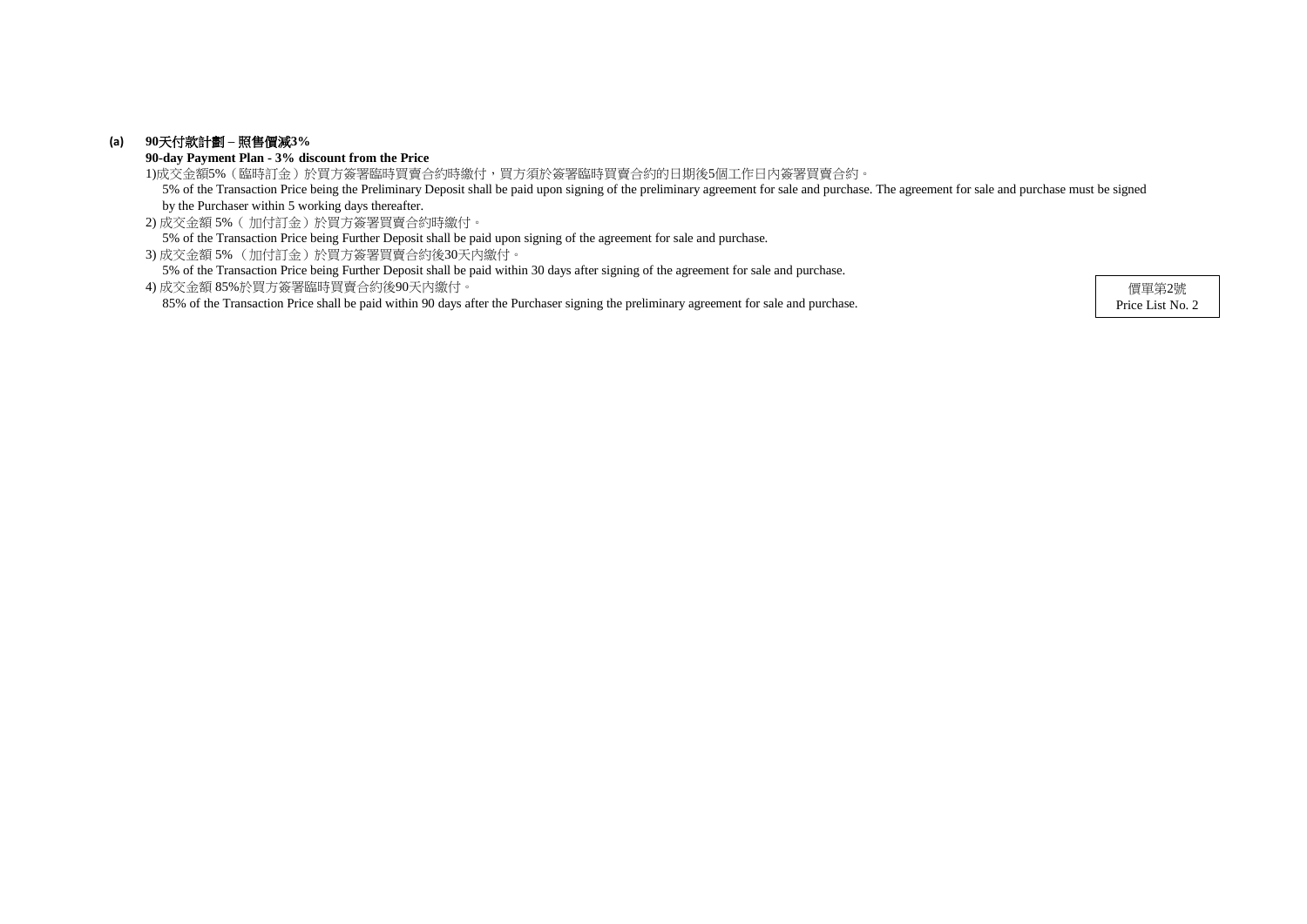# **(a) 90**天付款計劃 **–** 照售價減**3%**

**90-day Payment Plan - 3% discount from the Price**

2) 成交金額 5%( 加付訂金)於買方簽署買賣合約時繳付。 5% of the Transaction Price being Further Deposit shall be paid upon signing of the agreement for sale and purchase.

3) 成交金額 5% (加付訂金)於買方簽署買賣合約後30天內繳付。

5% of the Transaction Price being Further Deposit shall be paid within 30 days after signing of the agreement for sale and purchase.

1)成交金額5%(臨時訂金)於買方簽署臨時買賣合約時繳付,買方須於簽署臨時買賣合約的日期後5個工作日內簽署買賣合約。 5% of the Transaction Price being the Preliminary Deposit shall be paid upon signing of the preliminary agreement for sale and purchase. The agreement for sale and purchase must be signed by the Purchaser within 5 working days thereafter.

4) 成交金額 85%於買方簽署臨時買賣合約後90天內繳付。 85% of the Transaction Price shall be paid within 90 days after the Purchaser signing the preliminary agreement for sale and purchase.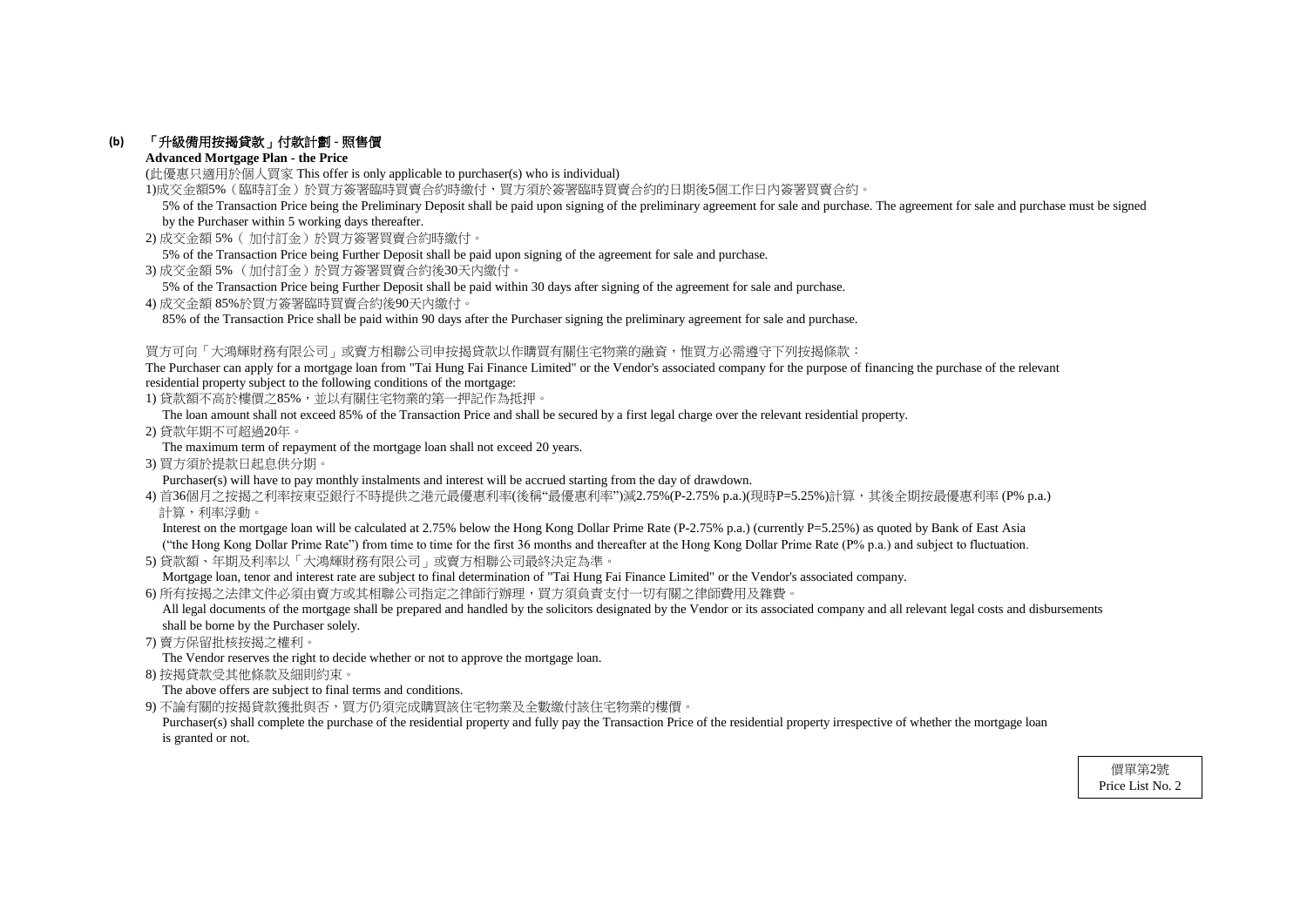# **(b)** 「升級備用按揭貸款」付款計劃 **-** 照售價

### **Advanced Mortgage Plan - the Price**

(此優惠只適用於個人買家 This offer is only applicable to purchaser(s) who is individual)

1)成交金額5%(臨時訂金)於買方簽署臨時買賣合約時繳付,買方須於簽署臨時買賣合約的日期後5個工作日內簽署買賣合約。

- 2) 成交金額 5%( 加付訂金)於買方簽署買賣合約時繳付。
- 5% of the Transaction Price being Further Deposit shall be paid upon signing of the agreement for sale and purchase.
- 3) 成交金額 5% (加付訂金)於買方簽署買賣合約後30天內繳付。
- 5% of the Transaction Price being Further Deposit shall be paid within 30 days after signing of the agreement for sale and purchase.
- 4) 成交金額 85%於買方簽署臨時買賣合約後90天內繳付。

85% of the Transaction Price shall be paid within 90 days after the Purchaser signing the preliminary agreement for sale and purchase.

### 買方可向「大鴻輝財務有限公司」或賣方相聯公司申按揭貸款以作購買有關住宅物業的融資,惟買方必需遵守下列按揭條款:

The Purchaser can apply for a mortgage loan from "Tai Hung Fai Finance Limited" or the Vendor's associated company for the purpose of financing the purchase of the relevant residential property subject to the following conditions of the mortgage:

1) 貸款額不高於樓價之85%,並以有關住宅物業的第一押記作為抵押。

Interest on the mortgage loan will be calculated at 2.75% below the Hong Kong Dollar Prime Rate (P-2.75% p.a.) (currently P=5.25%) as quoted by Bank of East Asia ("the Hong Kong Dollar Prime Rate") from time to time for the first 36 months and thereafter at the Hong Kong Dollar Prime Rate (P% p.a.) and subject to fluctuation.

The loan amount shall not exceed 85% of the Transaction Price and shall be secured by a first legal charge over the relevant residential property.

All legal documents of the mortgage shall be prepared and handled by the solicitors designated by the Vendor or its associated company and all relevant legal costs and disbursements shall be borne by the Purchaser solely.

2) 貸款年期不可超過20年。

The maximum term of repayment of the mortgage loan shall not exceed 20 years.

3) 買方須於提款日起息供分期。

Purchaser(s) will have to pay monthly instalments and interest will be accrued starting from the day of drawdown.

4) 首36個月之按揭之利率按東亞銀行不時提供之港元最優惠利率(後稱"最優惠利率")減2.75%(P-2.75% p.a.)(現時P=5.25%)計算,其後全期按最優惠利率 (P% p.a.) 計算,利率浮動。

Purchaser(s) shall complete the purchase of the residential property and fully pay the Transaction Price of the residential property irrespective of whether the mortgage loan is granted or not.

5) 貸款額、年期及利率以「大鴻輝財務有限公司」或賣方相聯公司最終決定為準。

Mortgage loan, tenor and interest rate are subject to final determination of "Tai Hung Fai Finance Limited" or the Vendor's associated company.

6) 所有按揭之法律文件必須由賣方或其相聯公司指定之律師行辦理,買方須負責支付一切有關之律師費用及雜費。

7) 賣方保留批核按揭之權利。

The Vendor reserves the right to decide whether or not to approve the mortgage loan.

8) 按揭貸款受其他條款及細則約束。

The above offers are subject to final terms and conditions.

9) 不論有關的按揭貸款獲批與否,買方仍須完成購買該住宅物業及全數繳付該住宅物業的樓價。

 5% of the Transaction Price being the Preliminary Deposit shall be paid upon signing of the preliminary agreement for sale and purchase. The agreement for sale and purchase must be signed by the Purchaser within 5 working days thereafter.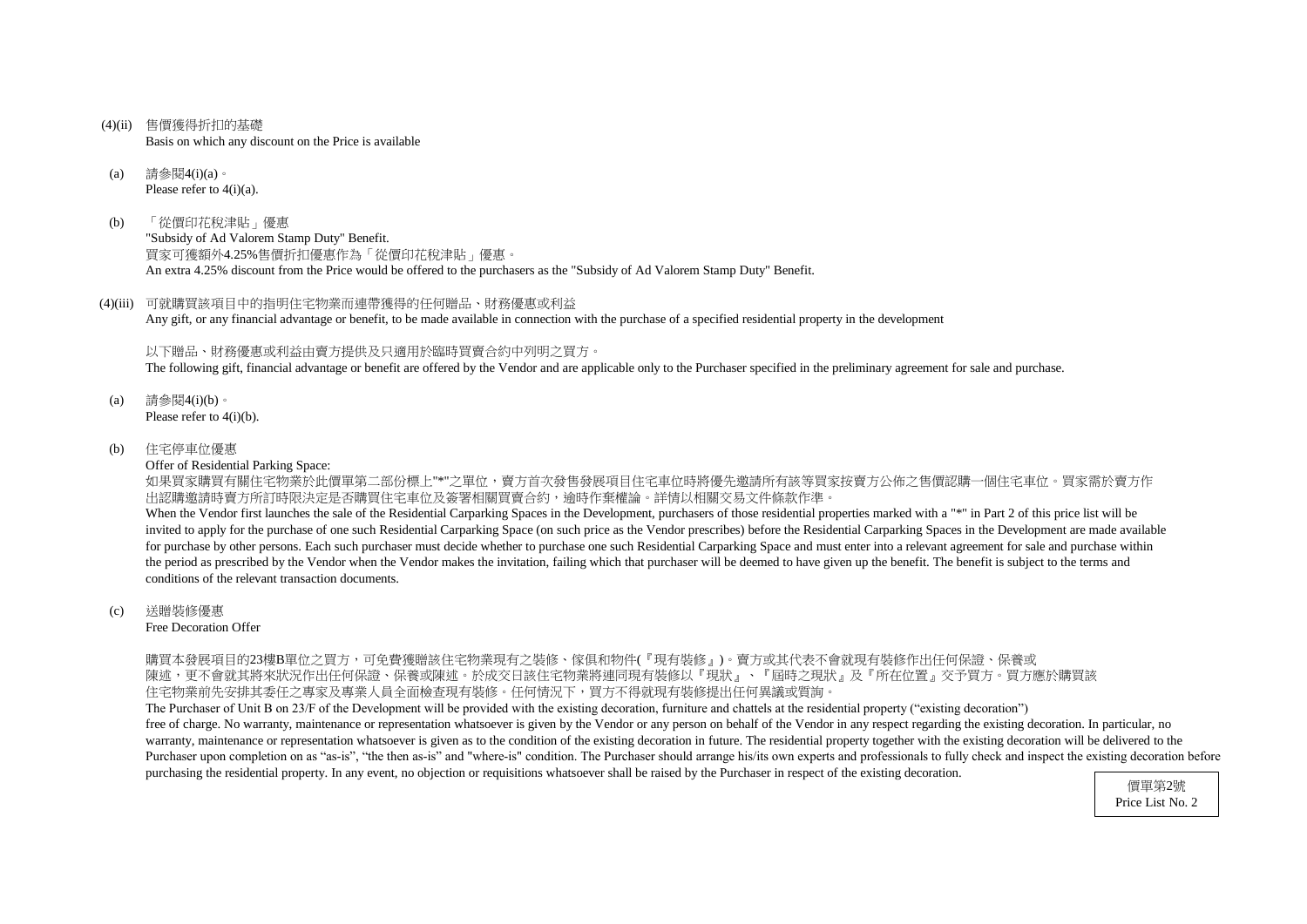- (4)(ii) 售價獲得折扣的基礎 Basis on which any discount on the Price is available
- (a) 請參閱4(i)(a)。 Please refer to 4(i)(a).
- (b) 「從價印花稅津貼」優惠 "Subsidy of Ad Valorem Stamp Duty" Benefit. 買家可獲額外4.25%售價折扣優惠作為「從價印花稅津貼」優惠。 An extra 4.25% discount from the Price would be offered to the purchasers as the "Subsidy of Ad Valorem Stamp Duty" Benefit.
- (4)(iii) 可就購買該項目中的指明住宅物業而連帶獲得的任何贈品、財務優惠或利益 Any gift, or any financial advantage or benefit, to be made available in connection with the purchase of a specified residential property in the development

以下贈品、財務優惠或利益由賣方提供及只適用於臨時買賣合約中列明之買方。

The following gift, financial advantage or benefit are offered by the Vendor and are applicable only to the Purchaser specified in the preliminary agreement for sale and purchase.

- (a) 請參閱4(i)(b)。 Please refer to 4(i)(b).
- (b) 住宅停車位優惠

Offer of Residential Parking Space:

如果買家購買有關住宅物業於此價單第二部份標上"\*"之單位,賣方首次發售發展項目住宅車位時將優先邀請所有該等買家按賣方公佈之售價認購一個住宅車位。買家需於賣方作 出認購邀請時賣方所訂時限決定是否購買住宅車位及簽署相關買賣合約,逾時作棄權論。詳情以相關交易文件條款作準。 When the Vendor first launches the sale of the Residential Carparking Spaces in the Development, purchasers of those residential properties marked with a "\*" in Part 2 of this price list will be invited to apply for the purchase of one such Residential Carparking Space (on such price as the Vendor prescribes) before the Residential Carparking Spaces in the Development are made available for purchase by other persons. Each such purchaser must decide whether to purchase one such Residential Carparking Space and must enter into a relevant agreement for sale and purchase within the period as prescribed by the Vendor when the Vendor makes the invitation, failing which that purchaser will be deemed to have given up the benefit. The benefit is subject to the terms and conditions of the relevant transaction documents.

(c) 送贈裝修優惠

Free Decoration Offer

購買本發展項目的23樓B單位之買方,可免費獲贈該住宅物業現有之裝修、傢俱和物件(『現有裝修』)。賣方或其代表不會就現有裝修作出任何保證、保養或 陳述,更不會就其將來狀況作出任何保證、保養或陳述。於成交日該住宅物業將連同現有裝修以『現狀』、『屆時之現狀』及『所在位置』交予買方。買方應於購買該 住宅物業前先安排其委任之專家及專業人員全面檢查現有裝修。任何情況下,買方不得就現有裝修提出任何異議或質詢。

The Purchaser of Unit B on 23/F of the Development will be provided with the existing decoration, furniture and chattels at the residential property ("existing decoration") free of charge. No warranty, maintenance or representation whatsoever is given by the Vendor or any person on behalf of the Vendor in any respect regarding the existing decoration. In particular, no warranty, maintenance or representation whatsoever is given as to the condition of the existing decoration in future. The residential property together with the existing decoration will be delivered to the Purchaser upon completion on as "as-is", "the then as-is" and "where-is" condition. The Purchaser should arrange his/its own experts and professionals to fully check and inspect the existing decoration before purchasing the residential property. In any event, no objection or requisitions whatsoever shall be raised by the Purchaser in respect of the existing decoration.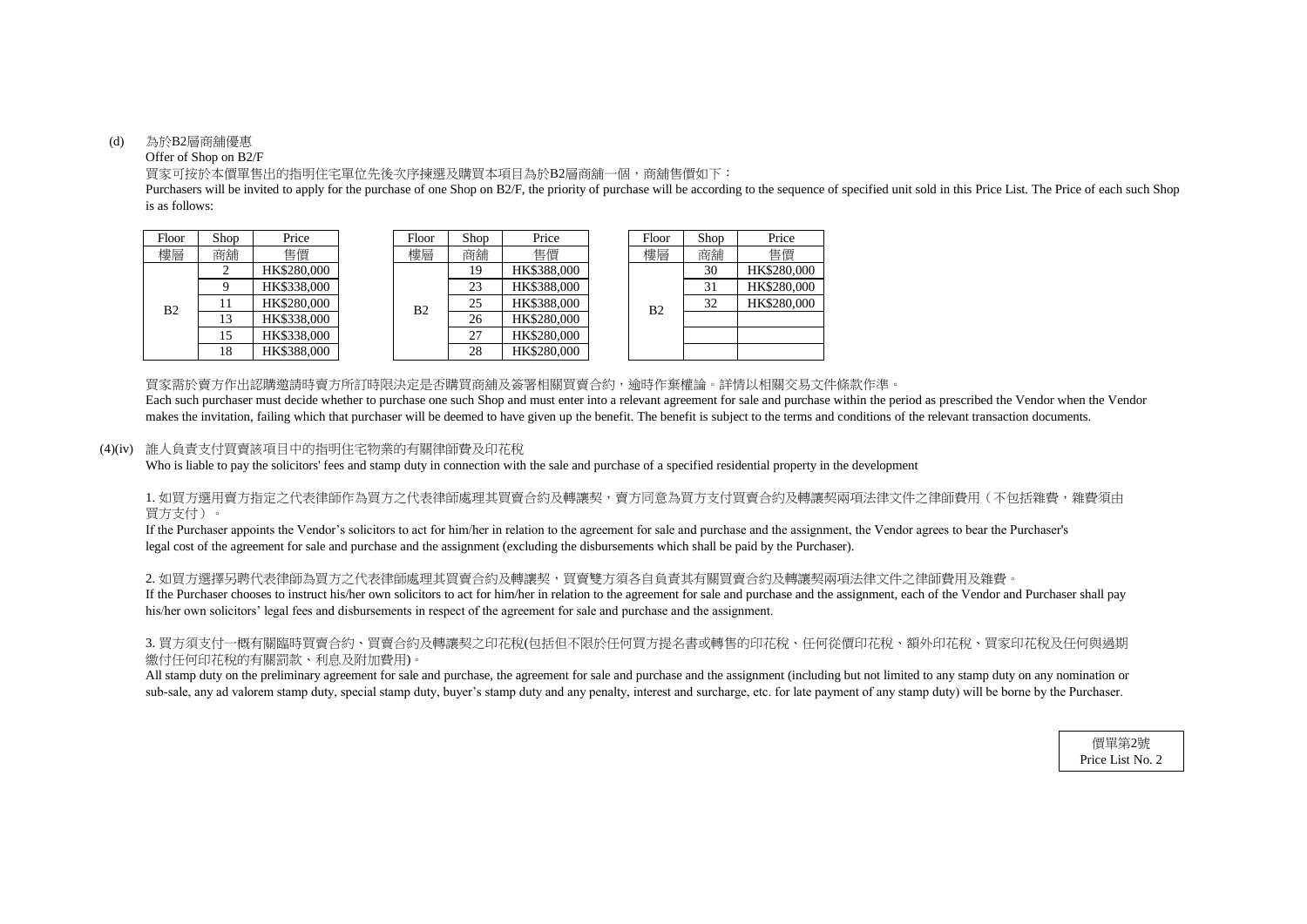#### (d) 為於B2層商舖優惠

### Offer of Shop on B2/F

is as follows: Purchasers will be invited to apply for the purchase of one Shop on B2/F, the priority of purchase will be according to the sequence of specified unit sold in this Price List. The Price of each such Shop

買家可按於本價單售出的指明住宅單位先後次序揀選及購買本項目為於B2層商舖一個,商舖售價如下:

買家需於賣方作出認購邀請時賣方所訂時限決定是否購買商舖及簽署相關買賣合約,逾時作棄權論。詳情以相關交易文件條款作準。 makes the invitation, failing which that purchaser will be deemed to have given up the benefit. The benefit is subject to the terms and conditions of the relevant transaction documents. Each such purchaser must decide whether to purchase one such Shop and must enter into a relevant agreement for sale and purchase within the period as prescribed the Vendor when the Vendor

# 1. 如買方選用賣方指定之代表律師作為買方之代表律師處理其買賣合約及轉讓契,賣方同意為買方支付買賣合約及轉讓契兩項法律文件之律師費用(不包括雜費,雜費須由 買方支付)。

### (4)(iv) 誰人負責支付買賣該項目中的指明住宅物業的有關律師費及印花稅

Who is liable to pay the solicitors' fees and stamp duty in connection with the sale and purchase of a specified residential property in the development

2. 如買方選擇另聘代表律師為買方之代表律師處理其買賣合約及轉讓契,買賣雙方須各自負責其有關買賣合約及轉讓契兩項法律文件之律師費用及雜費。 If the Purchaser chooses to instruct his/her own solicitors to act for him/her in relation to the agreement for sale and purchase and the assignment, each of the Vendor and Purchaser shall pay his/her own solicitors' legal fees and disbursements in respect of the agreement for sale and purchase and the assignment.

# 3. 買方須支付一概有關臨時買賣合約、買賣合約及轉讓契之印花稅(包括但不限於任何買方提名書或轉售的印花稅、任何從價印花稅、額外印花稅、買家印花稅及任何與過期 繳付任何印花稅的有關罰款、利息及附加費用)。

All stamp duty on the preliminary agreement for sale and purchase, the agreement for sale and purchase and the assignment (including but not limited to any stamp duty on any nomination or sub-sale, any ad valorem stamp duty, special stamp duty, buyer's stamp duty and any penalty, interest and surcharge, etc. for late payment of any stamp duty) will be borne by the Purchaser.

| Floor          | Shop | Price       |  | Floor          | Shop | Price       |  | Floor          | Shop | Price       |
|----------------|------|-------------|--|----------------|------|-------------|--|----------------|------|-------------|
| 樓層             | 商鋪   | 售價          |  | 樓層             | 商舖   | 售價          |  | 樓層             | 商鋪   | 售價          |
| B <sub>2</sub> | ◠    | HK\$280,000 |  |                | 19   | HK\$388,000 |  |                | 30   | HK\$280,000 |
|                |      | HK\$338,000 |  |                | 23   | HK\$388,000 |  |                | 31   | HK\$280,000 |
|                |      | HK\$280,000 |  | B <sub>2</sub> | 25   | HK\$388,000 |  | B <sub>2</sub> | 32   | HK\$280,000 |
|                | 13   | HK\$338,000 |  |                | 26   | HK\$280,000 |  |                |      |             |
|                | 15   | HK\$338,000 |  |                | 27   | HK\$280,000 |  |                |      |             |
|                | 18   | HK\$388,000 |  |                | 28   | HK\$280,000 |  |                |      |             |

legal cost of the agreement for sale and purchase and the assignment (excluding the disbursements which shall be paid by the Purchaser). If the Purchaser appoints the Vendor's solicitors to act for him/her in relation to the agreement for sale and purchase and the assignment, the Vendor agrees to bear the Purchaser's